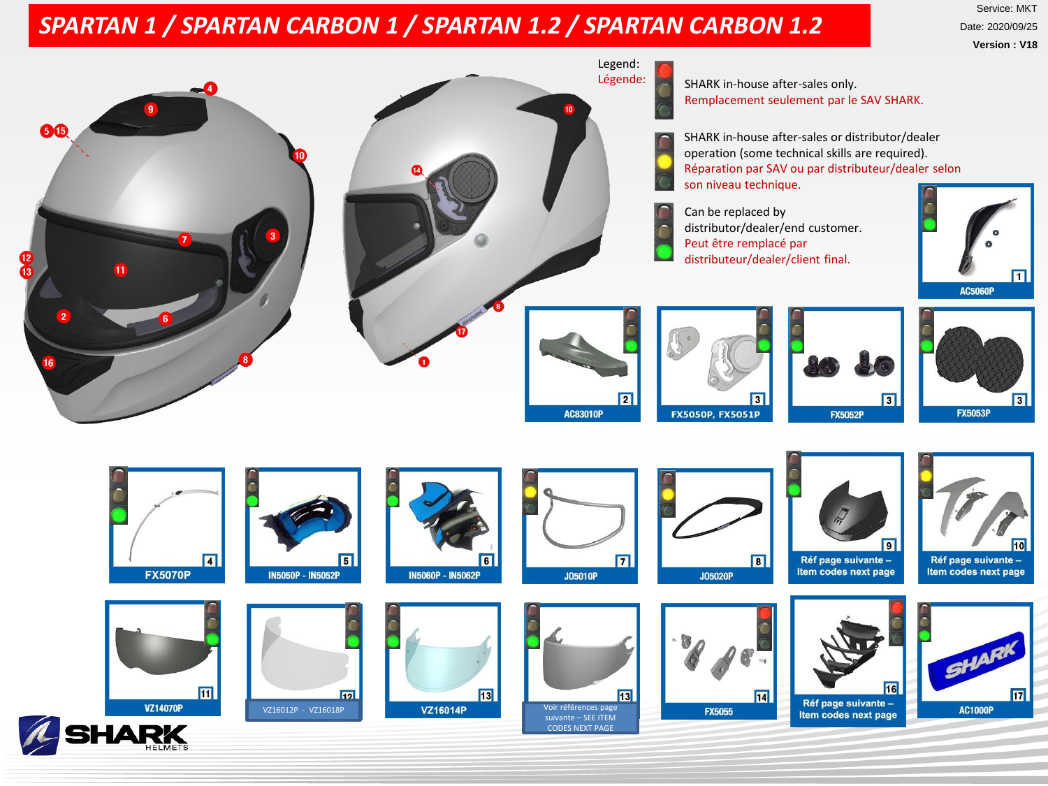## *SPARTAN 1 / SPARTAN CARBON 1 / SPARTAN 1.2 / SPARTAN CARBON 1.2*

Service: MKT Date: 2020/09/25 **Version : V18**

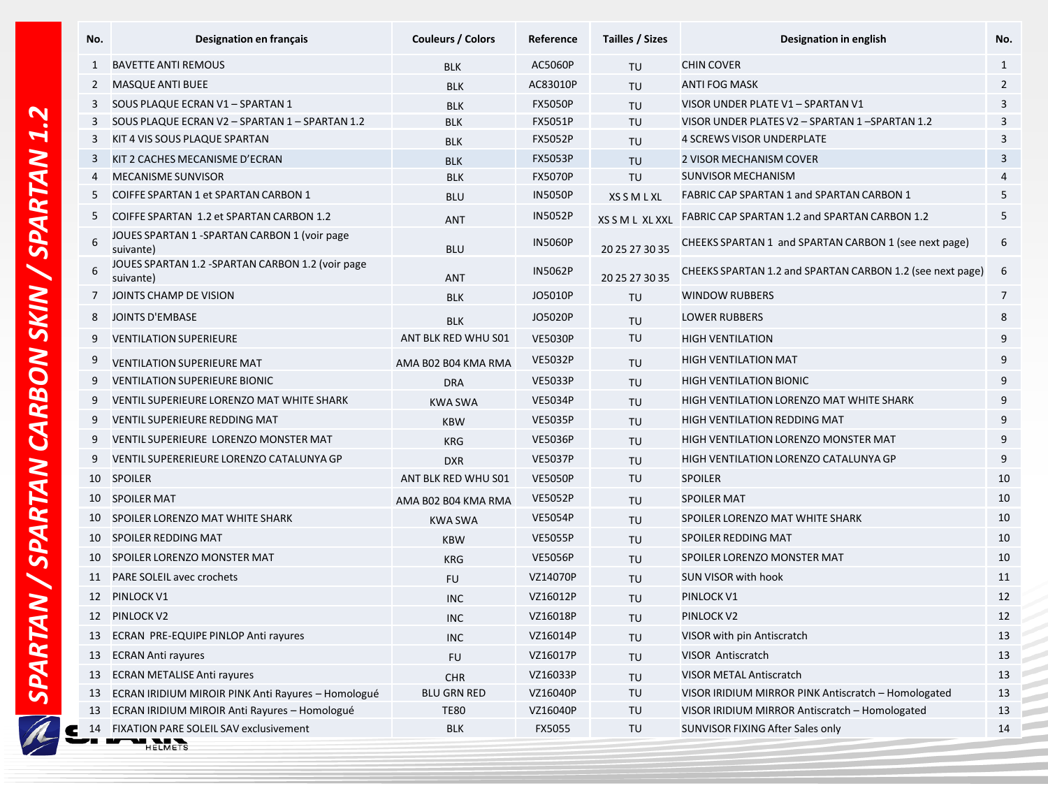|                            | No.            | Designation en français                                       | Couleurs / Colors   | Reference      | Tailles / Sizes    | Designation in english                                    | No.             |
|----------------------------|----------------|---------------------------------------------------------------|---------------------|----------------|--------------------|-----------------------------------------------------------|-----------------|
|                            | $\mathbf{1}$   | <b>BAVETTE ANTI REMOUS</b>                                    | <b>BLK</b>          | AC5060P        | <b>TU</b>          | <b>CHIN COVER</b>                                         |                 |
|                            | 2              | <b>MASQUE ANTI BUEE</b>                                       | <b>BLK</b>          | AC83010P       | TU                 | <b>ANTI FOG MASK</b>                                      | $\overline{2}$  |
|                            | 3              | SOUS PLAQUE ECRAN V1 - SPARTAN 1                              | <b>BLK</b>          | <b>FX5050P</b> | TU                 | VISOR UNDER PLATE V1 - SPARTAN V1                         | 3               |
|                            | 3              | SOUS PLAQUE ECRAN V2 - SPARTAN 1 - SPARTAN 1.2                | <b>BLK</b>          | <b>FX5051P</b> | TU                 | VISOR UNDER PLATES V2 - SPARTAN 1-SPARTAN 1.2             | 3               |
| 3                          |                | KIT 4 VIS SOUS PLAQUE SPARTAN                                 | <b>BLK</b>          | <b>FX5052P</b> | TU                 | <b>4 SCREWS VISOR UNDERPLATE</b>                          | 3               |
| 3                          |                | KIT 2 CACHES MECANISME D'ECRAN                                | <b>BLK</b>          | <b>FX5053P</b> | TU                 | 2 VISOR MECHANISM COVER                                   | 3               |
|                            | $\overline{4}$ | <b>MECANISME SUNVISOR</b>                                     | <b>BLK</b>          | <b>FX5070P</b> | TU                 | <b>SUNVISOR MECHANISM</b>                                 | $\overline{4}$  |
| 5<br>5<br>6<br>6<br>7<br>8 |                | COIFFE SPARTAN 1 et SPARTAN CARBON 1                          | <b>BLU</b>          | <b>IN5050P</b> | <b>XS S M L XL</b> | FABRIC CAP SPARTAN 1 and SPARTAN CARBON 1                 | 5               |
|                            |                | COIFFE SPARTAN 1.2 et SPARTAN CARBON 1.2                      | <b>ANT</b>          | <b>IN5052P</b> | XS S M L XL XXL    | FABRIC CAP SPARTAN 1.2 and SPARTAN CARBON 1.2             | 5               |
|                            |                | JOUES SPARTAN 1 - SPARTAN CARBON 1 (voir page<br>suivante)    | <b>BLU</b>          | <b>IN5060P</b> | 20 25 27 30 35     | CHEEKS SPARTAN 1 and SPARTAN CARBON 1 (see next page)     | 6               |
|                            |                | JOUES SPARTAN 1.2 -SPARTAN CARBON 1.2 (voir page<br>suivante) | <b>ANT</b>          | <b>IN5062P</b> | 20 25 27 30 35     | CHEEKS SPARTAN 1.2 and SPARTAN CARBON 1.2 (see next page) | -6              |
|                            |                | JOINTS CHAMP DE VISION                                        | <b>BLK</b>          | JO5010P        | TU                 | <b>WINDOW RUBBERS</b>                                     | $7\overline{ }$ |
|                            |                | <b>JOINTS D'EMBASE</b>                                        | <b>BLK</b>          | JO5020P        | TU                 | <b>LOWER RUBBERS</b>                                      | 8               |
|                            | 9              | <b>VENTILATION SUPERIEURE</b>                                 | ANT BLK RED WHU S01 | <b>VE5030P</b> | TU                 | <b>HIGH VENTILATION</b>                                   | 9               |
|                            | 9              | <b>VENTILATION SUPERIEURE MAT</b>                             | AMA B02 B04 KMA RMA | <b>VE5032P</b> | TU                 | <b>HIGH VENTILATION MAT</b>                               | 9               |
|                            | 9              | <b>VENTILATION SUPERIEURE BIONIC</b>                          | <b>DRA</b>          | <b>VE5033P</b> | TU                 | <b>HIGH VENTILATION BIONIC</b>                            | 9               |
|                            | 9              | VENTIL SUPERIEURE LORENZO MAT WHITE SHARK                     | <b>KWA SWA</b>      | <b>VE5034P</b> | TU                 | HIGH VENTILATION LORENZO MAT WHITE SHARK                  | 9               |
|                            | 9              | <b>VENTIL SUPERIEURE REDDING MAT</b>                          | <b>KBW</b>          | <b>VE5035P</b> | TU                 | <b>HIGH VENTILATION REDDING MAT</b>                       | 9               |
| 9<br>9                     |                | VENTIL SUPERIEURE LORENZO MONSTER MAT                         | <b>KRG</b>          | <b>VE5036P</b> | TU                 | HIGH VENTILATION LORENZO MONSTER MAT                      | 9               |
|                            |                | VENTIL SUPERERIEURE LORENZO CATALUNYA GP                      | <b>DXR</b>          | <b>VE5037P</b> | TU                 | HIGH VENTILATION LORENZO CATALUNYA GP                     | 9               |
|                            | 10             | <b>SPOILER</b>                                                | ANT BLK RED WHU S01 | <b>VE5050P</b> | TU                 | <b>SPOILER</b>                                            | 10              |
| 10<br>10<br>10<br>10       |                | <b>SPOILER MAT</b>                                            | AMA B02 B04 KMA RMA | <b>VE5052P</b> | TU                 | <b>SPOILER MAT</b>                                        | 10              |
|                            |                | SPOILER LORENZO MAT WHITE SHARK                               | <b>KWA SWA</b>      | <b>VE5054P</b> | TU                 | SPOILER LORENZO MAT WHITE SHARK                           | 10              |
|                            |                | SPOILER REDDING MAT                                           | <b>KBW</b>          | <b>VE5055P</b> | TU                 | SPOILER REDDING MAT                                       | 10              |
|                            |                | SPOILER LORENZO MONSTER MAT                                   | <b>KRG</b>          | <b>VE5056P</b> | TU                 | SPOILER LORENZO MONSTER MAT                               | 10              |
|                            | 11             | <b>PARE SOLEIL avec crochets</b>                              | <b>FU</b>           | VZ14070P       | TU                 | <b>SUN VISOR with hook</b>                                | 11              |
| 12<br>12                   |                | PINLOCK V1                                                    | <b>INC</b>          | VZ16012P       | TU                 | PINLOCK V1                                                | 12              |
|                            |                | PINLOCK V2                                                    | <b>INC</b>          | VZ16018P       | TU                 | PINLOCK V2                                                | 12              |
|                            | 13             | ECRAN PRE-EQUIPE PINLOP Anti rayures                          | <b>INC</b>          | VZ16014P       | TU                 | VISOR with pin Antiscratch                                | 13              |
|                            | 13             | <b>ECRAN Anti rayures</b>                                     | <b>FU</b>           | VZ16017P       | TU                 | <b>VISOR Antiscratch</b>                                  | 13              |
|                            | 13             | <b>ECRAN METALISE Anti rayures</b>                            | CHR                 | VZ16033P       | TU                 | <b>VISOR METAL Antiscratch</b>                            | 13              |
|                            | 13             | ECRAN IRIDIUM MIROIR PINK Anti Rayures - Homologué            | <b>BLU GRN RED</b>  | VZ16040P       | TU                 | VISOR IRIDIUM MIRROR PINK Antiscratch - Homologated       | 13              |
| 13                         |                | ECRAN IRIDIUM MIROIR Anti Rayures - Homologué                 | <b>TE80</b>         | VZ16040P       | TU                 | VISOR IRIDIUM MIRROR Antiscratch - Homologated            | 13              |
|                            |                | 14 FIXATION PARE SOLEIL SAV exclusivement                     | <b>BLK</b>          | FX5055         | TU                 | SUNVISOR FIXING After Sales only                          | 14              |

**THE HANDER**